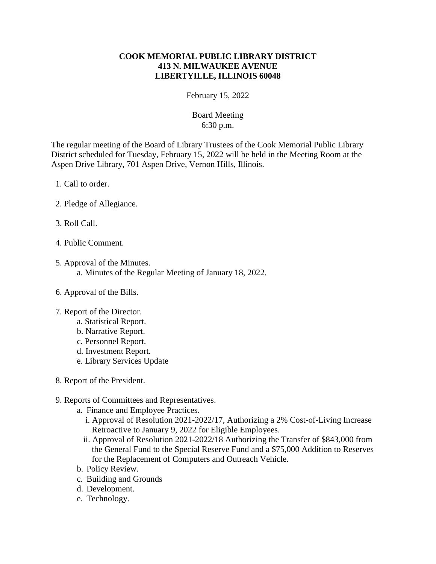## **COOK MEMORIAL PUBLIC LIBRARY DISTRICT 413 N. MILWAUKEE AVENUE LIBERTYILLE, ILLINOIS 60048**

February 15, 2022

## Board Meeting 6:30 p.m.

The regular meeting of the Board of Library Trustees of the Cook Memorial Public Library District scheduled for Tuesday, February 15, 2022 will be held in the Meeting Room at the Aspen Drive Library, 701 Aspen Drive, Vernon Hills, Illinois.

- 1. Call to order.
- 2. Pledge of Allegiance.
- 3. Roll Call.
- 4. Public Comment.
- 5. Approval of the Minutes. a. Minutes of the Regular Meeting of January 18, 2022.
- 6. Approval of the Bills.
- 7. Report of the Director.
	- a. Statistical Report.
	- b. Narrative Report.
	- c. Personnel Report.
	- d. Investment Report.
	- e. Library Services Update
- 8. Report of the President.

## 9. Reports of Committees and Representatives.

- a. Finance and Employee Practices.
	- i. Approval of Resolution 2021-2022/17, Authorizing a 2% Cost-of-Living Increase Retroactive to January 9, 2022 for Eligible Employees.
	- ii. Approval of Resolution 2021-2022/18 Authorizing the Transfer of \$843,000 from the General Fund to the Special Reserve Fund and a \$75,000 Addition to Reserves for the Replacement of Computers and Outreach Vehicle.
- b. Policy Review.
- c. Building and Grounds
- d. Development.
- e. Technology.